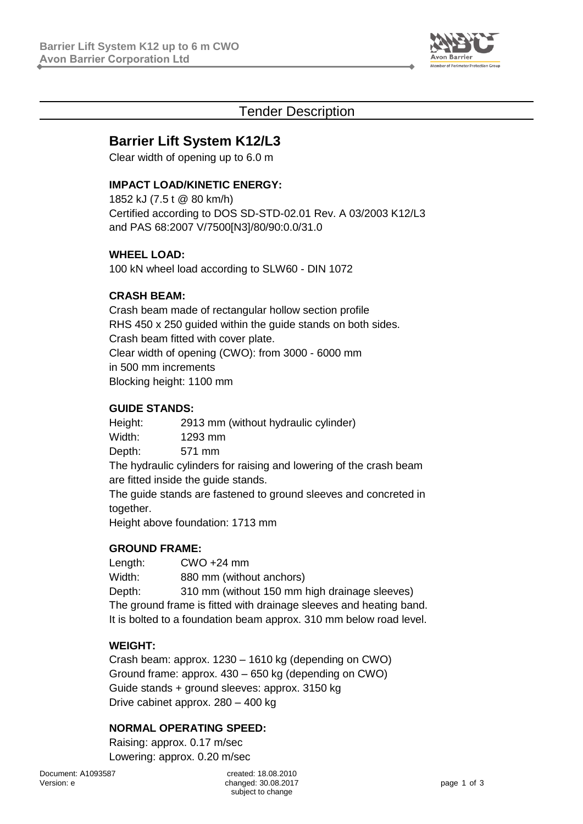

## Tender Description

# **Barrier Lift System K12/L3**

Clear width of opening up to 6.0 m

## **IMPACT LOAD/KINETIC ENERGY:**

1852 kJ (7.5 t @ 80 km/h) Certified according to DOS SD-STD-02.01 Rev. A 03/2003 K12/L3 and PAS 68:2007 V/7500[N3]/80/90:0.0/31.0

### **WHEEL LOAD:**

100 kN wheel load according to SLW60 - DIN 1072

## **CRASH BEAM:**

Crash beam made of rectangular hollow section profile RHS 450 x 250 guided within the guide stands on both sides. Crash beam fitted with cover plate. Clear width of opening (CWO): from 3000 - 6000 mm in 500 mm increments Blocking height: 1100 mm

#### **GUIDE STANDS:**

Height: 2913 mm (without hydraulic cylinder) Width: 1293 mm Depth: 571 mm The hydraulic cylinders for raising and lowering of the crash beam are fitted inside the guide stands. The guide stands are fastened to ground sleeves and concreted in

together.

Height above foundation: 1713 mm

#### **GROUND FRAME:**

Length: CWO +24 mm Width: 880 mm (without anchors) Depth: 310 mm (without 150 mm high drainage sleeves) The ground frame is fitted with drainage sleeves and heating band. It is bolted to a foundation beam approx. 310 mm below road level.

#### **WEIGHT:**

Crash beam: approx. 1230 – 1610 kg (depending on CWO) Ground frame: approx. 430 – 650 kg (depending on CWO) Guide stands + ground sleeves: approx. 3150 kg Drive cabinet approx. 280 – 400 kg

#### **NORMAL OPERATING SPEED:**

Raising: approx. 0.17 m/sec Lowering: approx. 0.20 m/sec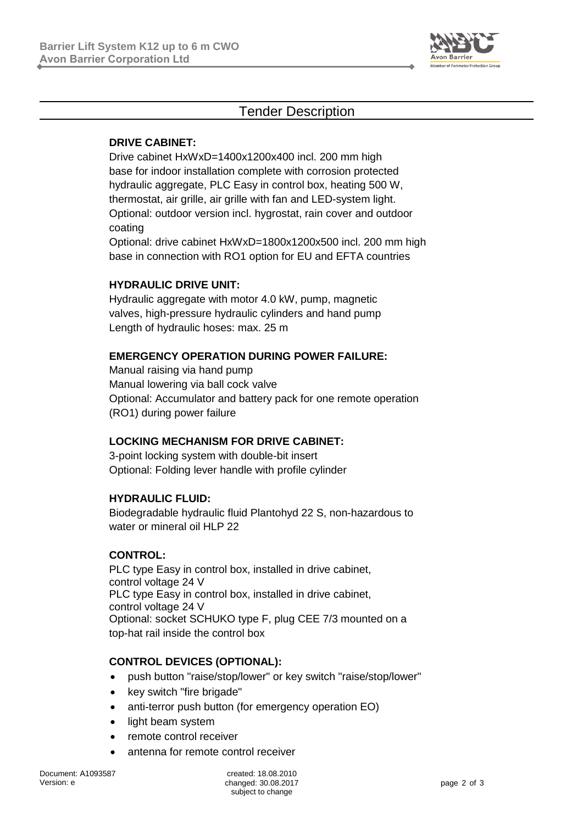

## Tender Description

### **DRIVE CABINET:**

Drive cabinet HxWxD=1400x1200x400 incl. 200 mm high base for indoor installation complete with corrosion protected hydraulic aggregate, PLC Easy in control box, heating 500 W, thermostat, air grille, air grille with fan and LED-system light. Optional: outdoor version incl. hygrostat, rain cover and outdoor coating

Optional: drive cabinet HxWxD=1800x1200x500 incl. 200 mm high base in connection with RO1 option for EU and EFTA countries

### **HYDRAULIC DRIVE UNIT:**

Hydraulic aggregate with motor 4.0 kW, pump, magnetic valves, high-pressure hydraulic cylinders and hand pump Length of hydraulic hoses: max. 25 m

#### **EMERGENCY OPERATION DURING POWER FAILURE:**

Manual raising via hand pump Manual lowering via ball cock valve Optional: Accumulator and battery pack for one remote operation (RO1) during power failure

## **LOCKING MECHANISM FOR DRIVE CABINET:**

3-point locking system with double-bit insert Optional: Folding lever handle with profile cylinder

#### **HYDRAULIC FLUID:**

Biodegradable hydraulic fluid Plantohyd 22 S, non-hazardous to water or mineral oil HLP 22

#### **CONTROL:**

PLC type Easy in control box, installed in drive cabinet, control voltage 24 V PLC type Easy in control box, installed in drive cabinet, control voltage 24 V Optional: socket SCHUKO type F, plug CEE 7/3 mounted on a top-hat rail inside the control box

#### **CONTROL DEVICES (OPTIONAL):**

- push button "raise/stop/lower" or key switch "raise/stop/lower"
- key switch "fire brigade"
- anti-terror push button (for emergency operation EO)
- light beam system
- remote control receiver
- antenna for remote control receiver